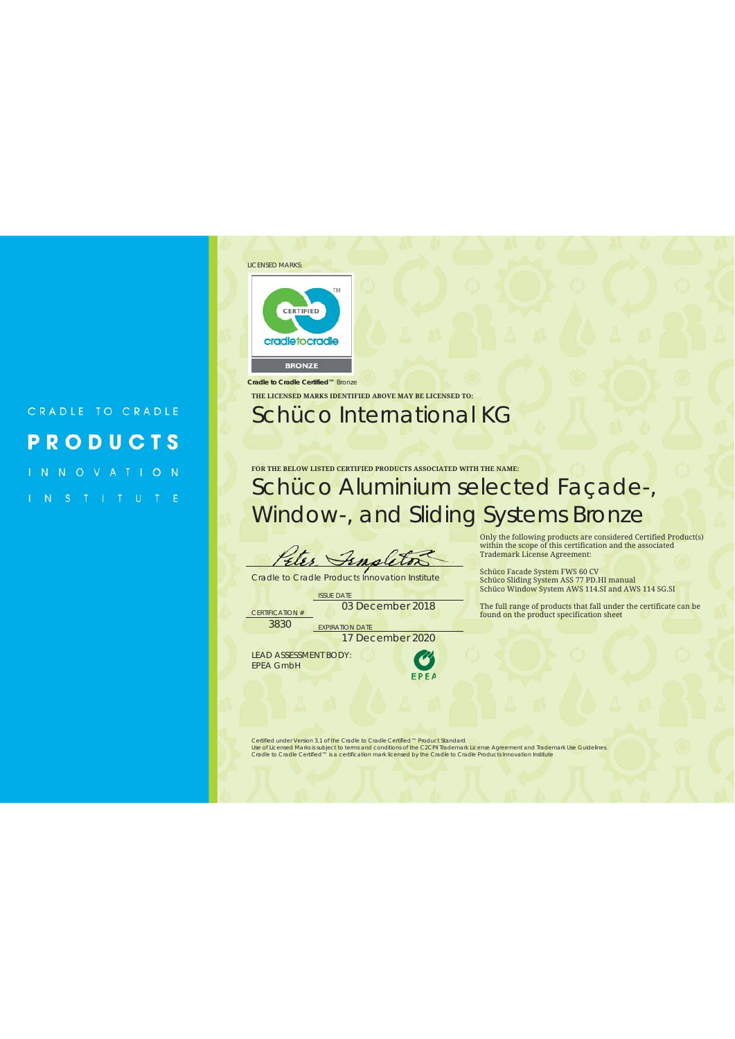#### CRADLE TO CRADLE **PRODUCTS**

INNOVATION

#### LICENSED MARKS: TM CERTIFIED



*Cradle to Cradle Certified™* Bronze

#### **THE LICENSED MARKS IDENTIFIED ABOVE MAY BE LICENSED TO:** Schüco International KG

#### **FOR THE BELOW LISTED CERTIFIED PRODUCTS ASSOCIATED WITH THE NAME:** Schüco Aluminium selected Façade-, Window-, and Sliding Systems Bronze

Eter Fen

Cradle to Cradle Products Innovation Institute

**ISSUE DATE** CERTIFICATION # 03 December 2018

Schüco Facade System FWS 60 CV Schüco Sliding System ASS 77 PD.HI manual Schüco Window System AWS 114.SI and AWS 114 SG.SI The full range of products that fall under the certificate can be

Only the following products are considered Certified Product(s) within the scope of this certification and the associated Trademark License Agreement:

found on the product specification sheet

3830 EXPIRATION DATE

17 December 2020

LEAD ASSESSMENT BODY: EPEA GmbH



Certified under Version 3.1 of the *Cradle to Cradle Certified*<sup>nu</sup> Product Standard<br>Use of Licensed Marks is subject to terms and conditions of the C2CPII Trademark License Agreement and Trademark Use Guidelines<br>*Cradle t*